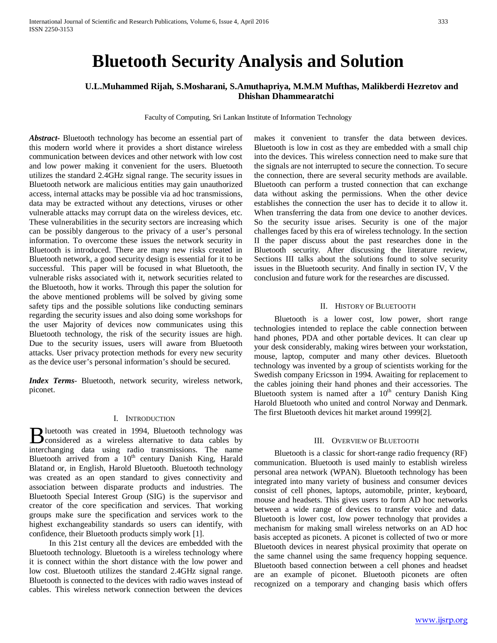# **Bluetooth Security Analysis and Solution**

# **U.L.Muhammed Rijah, S.Mosharani, S.Amuthapriya, M.M.M Mufthas, Malikberdi Hezretov and Dhishan Dhammearatchi**

Faculty of Computing, Sri Lankan Institute of Information Technology

*Abstract***-** Bluetooth technology has become an essential part of this modern world where it provides a short distance wireless communication between devices and other network with low cost and low power making it convenient for the users. Bluetooth utilizes the standard 2.4GHz signal range. The security issues in Bluetooth network are malicious entities may gain unauthorized access, internal attacks may be possible via ad hoc transmissions, data may be extracted without any detections, viruses or other vulnerable attacks may corrupt data on the wireless devices, etc. These vulnerabilities in the security sectors are increasing which can be possibly dangerous to the privacy of a user's personal information. To overcome these issues the network security in Bluetooth is introduced. There are many new risks created in Bluetooth network, a good security design is essential for it to be successful. This paper will be focused in what Bluetooth, the vulnerable risks associated with it, network securities related to the Bluetooth, how it works. Through this paper the solution for the above mentioned problems will be solved by giving some safety tips and the possible solutions like conducting seminars regarding the security issues and also doing some workshops for the user Majority of devices now communicates using this Bluetooth technology, the risk of the security issues are high. Due to the security issues, users will aware from Bluetooth attacks. User privacy protection methods for every new security as the device user's personal information's should be secured.

*Index Terms*- Bluetooth, network security, wireless network, piconet.

#### I. INTRODUCTION

**luetooth** was created in 1994, Bluetooth technology was **Exercise** Considered as a wireless alternative to data cables by interactional data cables by  $\frac{1}{2}$ interchanging data using radio transmissions. The name Bluetooth arrived from a 10<sup>th</sup> century Danish King, Harald Blatand or, in English, Harold Bluetooth. Bluetooth technology was created as an open standard to gives connectivity and association between disparate products and industries. The Bluetooth Special Interest Group (SIG) is the supervisor and creator of the core specification and services. That working groups make sure the specification and services work to the highest exchangeability standards so users can identify, with confidence, their Bluetooth products simply work [1].

 In this 21st century all the devices are embedded with the Bluetooth technology. Bluetooth is a wireless technology where it is connect within the short distance with the low power and low cost. Bluetooth utilizes the standard 2.4GHz signal range. Bluetooth is connected to the devices with radio waves instead of cables. This wireless network connection between the devices

makes it convenient to transfer the data between devices. Bluetooth is low in cost as they are embedded with a small chip into the devices. This wireless connection need to make sure that the signals are not interrupted to secure the connection. To secure the connection, there are several security methods are available. Bluetooth can perform a trusted connection that can exchange data without asking the permissions. When the other device establishes the connection the user has to decide it to allow it. When transferring the data from one device to another devices. So the security issue arises. Security is one of the major challenges faced by this era of wireless technology. In the section II the paper discuss about the past researches done in the Bluetooth security. After discussing the literature review, Sections III talks about the solutions found to solve security issues in the Bluetooth security. And finally in section IV, V the conclusion and future work for the researches are discussed.

#### II. HISTORY OF BLUETOOTH

 Bluetooth is a lower cost, low power, short range technologies intended to replace the cable connection between hand phones, PDA and other portable devices. It can clear up your desk considerably, making wires between your workstation, mouse, laptop, computer and many other devices. Bluetooth technology was invented by a group of scientists working for the Swedish company Ericsson in 1994. Awaiting for replacement to the cables joining their hand phones and their accessories. The Bluetooth system is named after a  $10<sup>th</sup>$  century Danish King Harold Bluetooth who united and control Norway and Denmark. The first Bluetooth devices hit market around 1999[2].

## III. OVERVIEW OF BLUETOOTH

 Bluetooth is a classic for short-range radio frequency (RF) communication. Bluetooth is used mainly to establish wireless personal area network (WPAN). Bluetooth technology has been integrated into many variety of business and consumer devices consist of cell phones, laptops, automobile, printer, keyboard, mouse and headsets. This gives users to form AD hoc networks between a wide range of devices to transfer voice and data. Bluetooth is lower cost, low power technology that provides a mechanism for making small wireless networks on an AD hoc basis accepted as piconets. A piconet is collected of two or more Bluetooth devices in nearest physical proximity that operate on the same channel using the same frequency hopping sequence. Bluetooth based connection between a cell phones and headset are an example of piconet. Bluetooth piconets are often recognized on a temporary and changing basis which offers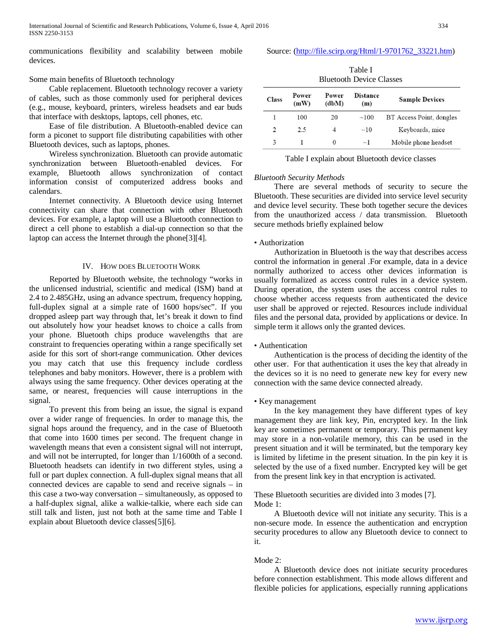International Journal of Scientific and Research Publications, Volume 6, Issue 4, April 2016 334 ISSN 2250-3153

communications flexibility and scalability between mobile devices.

## Source: [\(http://file.scirp.org/Html/1-9701762\\_33221.htm\)](http://file.scirp.org/Html/1-9701762_33221.htm)

## Some main benefits of Bluetooth technology

 Cable replacement. Bluetooth technology recover a variety of cables, such as those commonly used for peripheral devices (e.g., mouse, keyboard, printers, wireless headsets and ear buds that interface with desktops, laptops, cell phones, etc.

 Ease of file distribution. A Bluetooth-enabled device can form a piconet to support file distributing capabilities with other Bluetooth devices, such as laptops, phones.

 Wireless synchronization. Bluetooth can provide automatic synchronization between Bluetooth-enabled devices. For example, Bluetooth allows synchronization of contact information consist of computerized address books and calendars.

 Internet connectivity. A Bluetooth device using Internet connectivity can share that connection with other Bluetooth devices. For example, a laptop will use a Bluetooth connection to direct a cell phone to establish a dial-up connection so that the laptop can access the Internet through the phone[3][4].

## IV. HOW DOES BLUETOOTH WORK

 Reported by Bluetooth website, the technology "works in the unlicensed industrial, scientific and medical (ISM) band at 2.4 to 2.485GHz, using an advance spectrum, frequency hopping, full-duplex signal at a simple rate of 1600 hops/sec". If you dropped asleep part way through that, let's break it down to find out absolutely how your headset knows to choice a calls from your phone. Bluetooth chips produce wavelengths that are constraint to frequencies operating within a range specifically set aside for this sort of short-range communication. Other devices you may catch that use this frequency include cordless telephones and baby monitors. However, there is a problem with always using the same frequency. Other devices operating at the same, or nearest, frequencies will cause interruptions in the signal.

 To prevent this from being an issue, the signal is expand over a wider range of frequencies. In order to manage this, the signal hops around the frequency, and in the case of Bluetooth that come into 1600 times per second. The frequent change in wavelength means that even a consistent signal will not interrupt, and will not be interrupted, for longer than 1/1600th of a second. Bluetooth headsets can identify in two different styles, using a full or part duplex connection. A full-duplex signal means that all connected devices are capable to send and receive signals – in this case a two-way conversation – simultaneously, as opposed to a half-duplex signal, alike a walkie-talkie, where each side can still talk and listen, just not both at the same time and Table I explain about Bluetooth device classes[5][6].

| Table I<br><b>Bluetooth Device Classes</b> |               |                |                        |                          |  |  |  |  |
|--------------------------------------------|---------------|----------------|------------------------|--------------------------|--|--|--|--|
| <b>Class</b>                               | Power<br>(mW) | Power<br>(dbM) | <b>Distance</b><br>(m) | <b>Sample Devices</b>    |  |  |  |  |
|                                            | 100<br>20     |                | ~100                   | BT Access Point, dongles |  |  |  |  |
| $\overline{c}$                             | 2.5           | 4              | ~10                    | Keyboards, mice          |  |  |  |  |
| 3                                          |               | 0              | $\sim$ ]               | Mobile phone headset     |  |  |  |  |

Table I explain about Bluetooth device classes

#### *Bluetooth Security Methods*

 There are several methods of security to secure the Bluetooth. These securities are divided into service level security and device level security. These both together secure the devices from the unauthorized access / data transmission. Bluetooth secure methods briefly explained below

### • Authorization

 Authorization in Bluetooth is the way that describes access control the information in general .For example, data in a device normally authorized to access other devices information is usually formalized as access control rules in a device system. During operation, the system uses the access control rules to choose whether access requests from authenticated the device user shall be approved or rejected. Resources include individual files and the personal data, provided by applications or device. In simple term it allows only the granted devices.

#### • Authentication

 Authentication is the process of deciding the identity of the other user. For that authentication it uses the key that already in the devices so it is no need to generate new key for every new connection with the same device connected already.

# • Key management

 In the key management they have different types of key management they are link key, Pin, encrypted key. In the link key are sometimes permanent or temporary. This permanent key may store in a non-volatile memory, this can be used in the present situation and it will be terminated, but the temporary key is limited by lifetime in the present situation. In the pin key it is selected by the use of a fixed number. Encrypted key will be get from the present link key in that encryption is activated.

These Bluetooth securities are divided into 3 modes [7]. Mode 1:

 A Bluetooth device will not initiate any security. This is a non-secure mode. In essence the authentication and encryption security procedures to allow any Bluetooth device to connect to it.

#### Mode 2:

 A Bluetooth device does not initiate security procedures before connection establishment. This mode allows different and flexible policies for applications, especially running applications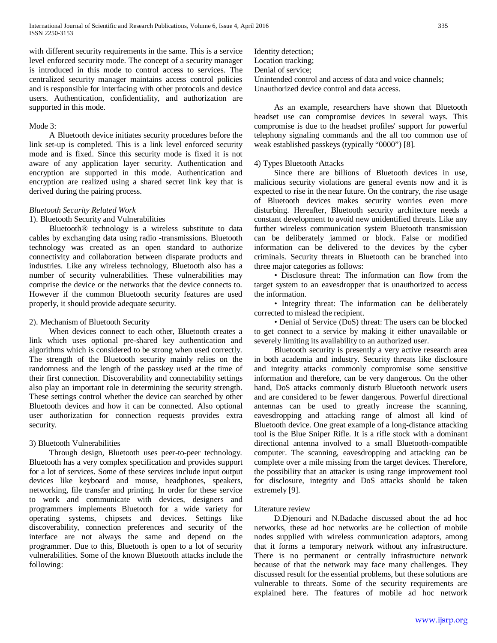with different security requirements in the same. This is a service level enforced security mode. The concept of a security manager is introduced in this mode to control access to services. The centralized security manager maintains access control policies and is responsible for interfacing with other protocols and device users. Authentication, confidentiality, and authorization are supported in this mode.

## Mode 3:

 A Bluetooth device initiates security procedures before the link set-up is completed. This is a link level enforced security mode and is fixed. Since this security mode is fixed it is not aware of any application layer security. Authentication and encryption are supported in this mode. Authentication and encryption are realized using a shared secret link key that is derived during the pairing process.

## *Bluetooth Security Related Work*

## 1). Bluetooth Security and Vulnerabilities

 Bluetooth® technology is a wireless substitute to data cables by exchanging data using radio -transmissions. Bluetooth technology was created as an open standard to authorize connectivity and collaboration between disparate products and industries. Like any wireless technology, Bluetooth also has a number of security vulnerabilities. These vulnerabilities may comprise the device or the networks that the device connects to. However if the common Bluetooth security features are used properly, it should provide adequate security.

## 2). Mechanism of Bluetooth Security

 When devices connect to each other, Bluetooth creates a link which uses optional pre-shared key authentication and algorithms which is considered to be strong when used correctly. The strength of the Bluetooth security mainly relies on the randomness and the length of the passkey used at the time of their first connection. Discoverability and connectability settings also play an important role in determining the security strength. These settings control whether the device can searched by other Bluetooth devices and how it can be connected. Also optional user authorization for connection requests provides extra security.

## 3) Bluetooth Vulnerabilities

 Through design, Bluetooth uses peer-to-peer technology. Bluetooth has a very complex specification and provides support for a lot of services. Some of these services include input output devices like keyboard and mouse, headphones, speakers, networking, file transfer and printing. In order for these service to work and communicate with devices, designers and programmers implements Bluetooth for a wide variety for operating systems, chipsets and devices. Settings like discoverability, connection preferences and security of the interface are not always the same and depend on the programmer. Due to this, Bluetooth is open to a lot of security vulnerabilities. Some of the known Bluetooth attacks include the following:

Identity detection; Location tracking; Denial of service; Unintended control and access of data and voice channels; Unauthorized device control and data access.

 As an example, researchers have shown that Bluetooth headset use can compromise devices in several ways. This compromise is due to the headset profiles' support for powerful telephony signaling commands and the all too common use of weak established passkeys (typically "0000") [8].

## 4) Types Bluetooth Attacks

 Since there are billions of Bluetooth devices in use, malicious security violations are general events now and it is expected to rise in the near future. On the contrary, the rise usage of Bluetooth devices makes security worries even more disturbing. Hereafter, Bluetooth security architecture needs a constant development to avoid new unidentified threats. Like any further wireless communication system Bluetooth transmission can be deliberately jammed or block. False or modified information can be delivered to the devices by the cyber criminals. Security threats in Bluetooth can be branched into three major categories as follows:

 • Disclosure threat: The information can flow from the target system to an eavesdropper that is unauthorized to access the information.

 • Integrity threat: The information can be deliberately corrected to mislead the recipient.

 • Denial of Service (DoS) threat: The users can be blocked to get connect to a service by making it either unavailable or severely limiting its availability to an authorized user.

 Bluetooth security is presently a very active research area in both academia and industry. Security threats like disclosure and integrity attacks commonly compromise some sensitive information and therefore, can be very dangerous. On the other hand, DoS attacks commonly disturb Bluetooth network users and are considered to be fewer dangerous. Powerful directional antennas can be used to greatly increase the scanning, eavesdropping and attacking range of almost all kind of Bluetooth device. One great example of a long-distance attacking tool is the Blue Sniper Rifle. It is a rifle stock with a dominant directional antenna involved to a small Bluetooth-compatible computer. The scanning, eavesdropping and attacking can be complete over a mile missing from the target devices. Therefore, the possibility that an attacker is using range improvement tool for disclosure, integrity and DoS attacks should be taken extremely [9].

#### Literature review

 D.Djenouri and N.Badache discussed about the ad hoc networks, these ad hoc networks are he collection of mobile nodes supplied with wireless communication adaptors, among that it forms a temporary network without any infrastructure. There is no permanent or centrally infrastructure network because of that the network may face many challenges. They discussed result for the essential problems, but these solutions are vulnerable to threats. Some of the security requirements are explained here. The features of mobile ad hoc network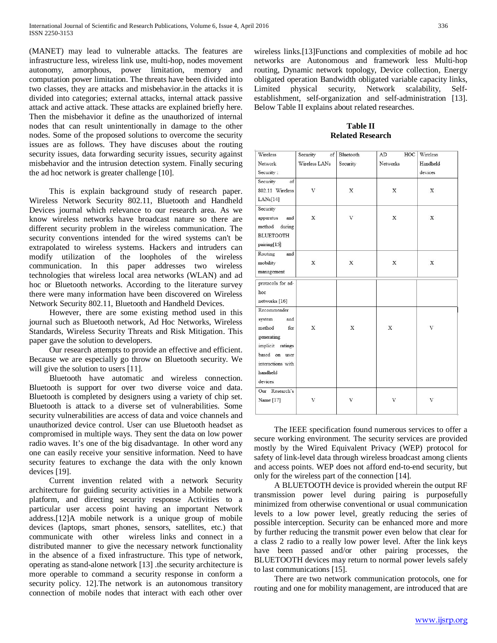(MANET) may lead to vulnerable attacks. The features are infrastructure less, wireless link use, multi-hop, nodes movement autonomy, amorphous, power limitation, memory and computation power limitation. The threats have been divided into two classes, they are attacks and misbehavior.in the attacks it is divided into categories; external attacks, internal attack passive attack and active attack. These attacks are explained briefly here. Then the misbehavior it define as the unauthorized of internal nodes that can result unintentionally in damage to the other nodes. Some of the proposed solutions to overcome the security issues are as follows. They have discuses about the routing security issues, data forwarding security issues, security against misbehavior and the intrusion detection system. Finally securing the ad hoc network is greater challenge [10].

 This is explain background study of research paper. Wireless Network Security 802.11, Bluetooth and Handheld Devices journal which relevance to our research area. As we know wireless networks have broadcast nature so there are different security problem in the wireless communication. The security conventions intended for the wired systems can't be extrapolated to wireless systems. Hackers and intruders can modify utilization of the loopholes of the wireless communication. In this paper addresses two wireless technologies that wireless local area networks (WLAN) and ad hoc or Bluetooth networks. According to the literature survey there were many information have been discovered on Wireless Network Security 802.11, Bluetooth and Handheld Devices.

 However, there are some existing method used in this journal such as Bluetooth network, Ad Hoc Networks, Wireless Standards, Wireless Security Threats and Risk Mitigation. This paper gave the solution to developers.

 Our research attempts to provide an effective and efficient. Because we are especially go throw on Bluetooth security. We will give the solution to users [11].

 Bluetooth have automatic and wireless connection. Bluetooth is support for over two diverse voice and data. Bluetooth is completed by designers using a variety of chip set. Bluetooth is attack to a diverse set of vulnerabilities. Some security vulnerabilities are access of data and voice channels and unauthorized device control. User can use Bluetooth headset as compromised in multiple ways. They sent the data on low power radio waves. It's one of the big disadvantage. In other word any one can easily receive your sensitive information. Need to have security features to exchange the data with the only known devices [19].

 Current invention related with a network Security architecture for guiding security activities in a Mobile network platform, and directing security response Activities to a particular user access point having an important Network address.[12]A mobile network is a unique group of mobile devices (laptops, smart phones, sensors, satellites, etc.) that communicate with other wireless links and connect in a distributed manner to give the necessary network functionality in the absence of a fixed infrastructure. This type of network, operating as stand-alone network [13] .the security architecture is more operable to command a security response in conform a security policy. 12]. The network is an autonomous transitory connection of mobile nodes that interact with each other over wireless links.[13]Functions and complexities of mobile ad hoc networks are Autonomous and framework less Multi-hop routing, Dynamic network topology, Device collection, Energy obligated operation Bandwidth obligated variable capacity links, Limited physical security, Network scalability, Selfestablishment, self-organization and self-administration [13]. Below Table II explains about related researches.

## **Table II Related Research**

| Wireless          | Security<br>of | Bluetooth | HOC<br>AD   | Wireless       |
|-------------------|----------------|-----------|-------------|----------------|
| Network           | Wireless LANs  | Security  | Networks    | Handheld       |
| Security:         |                |           |             | devices        |
| Security<br>of    |                |           |             |                |
| 802.11 Wireless   | V              | X         | X           | X              |
| LANs[14]          |                |           |             |                |
| Security          |                |           |             |                |
| apparatus<br>and  | $\mathbf x$    | V         | $\mathbf x$ | X              |
| method<br>during  |                |           |             |                |
| <b>BLUETOOTH</b>  |                |           |             |                |
| pairing[15]       |                |           |             |                |
| Routing<br>and    |                |           |             |                |
| mobility          | X              | X         | X           | X              |
| management        |                |           |             |                |
| protocols for ad- |                |           |             |                |
| hoc               |                |           |             |                |
| networks [16]     |                |           |             |                |
| Recommender       |                |           |             |                |
| system<br>and     |                |           |             |                |
| method<br>for     | X              | X         | X           | $\overline{V}$ |
| generating        |                |           |             |                |
| implicit ratings  |                |           |             |                |
| based on user     |                |           |             |                |
| interactions with |                |           |             |                |
| handheld          |                |           |             |                |
| devices           |                |           |             |                |
| Our Research's    |                |           |             |                |
| Name [17]         | V              | $\rm V$   | V           | $\mathbf{V}$   |
|                   |                |           |             |                |
|                   |                |           |             |                |

 The IEEE specification found numerous services to offer a secure working environment. The security services are provided mostly by the Wired Equivalent Privacy (WEP) protocol for safety of link-level data through wireless broadcast among clients and access points. WEP does not afford end-to-end security, but only for the wireless part of the connection [14].

 A BLUETOOTH device is provided wherein the output RF transmission power level during pairing is purposefully minimized from otherwise conventional or usual communication levels to a low power level, greatly reducing the series of possible interception. Security can be enhanced more and more by further reducing the transmit power even below that clear for a class 2 radio to a really low power level. After the link keys have been passed and/or other pairing processes, the BLUETOOTH devices may return to normal power levels safely to last communications [15].

 There are two network communication protocols, one for routing and one for mobility management, are introduced that are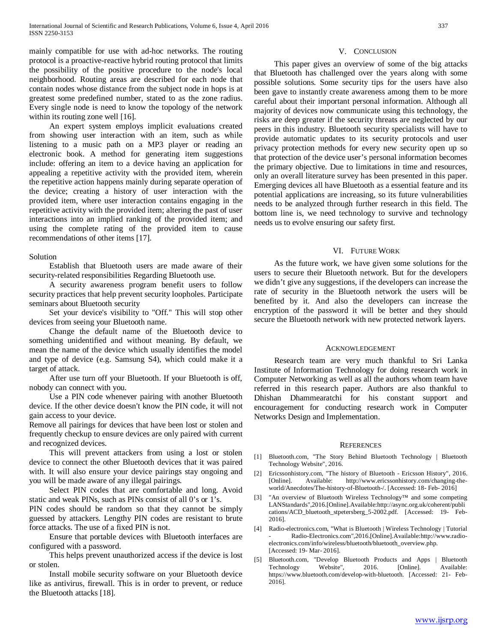mainly compatible for use with ad-hoc networks. The routing protocol is a proactive-reactive hybrid routing protocol that limits the possibility of the positive procedure to the node's local neighborhood. Routing areas are described for each node that contain nodes whose distance from the subject node in hops is at greatest some predefined number, stated to as the zone radius. Every single node is need to know the topology of the network within its routing zone well [16].

 An expert system employs implicit evaluations created from showing user interaction with an item, such as while listening to a music path on a MP3 player or reading an electronic book. A method for generating item suggestions include: offering an item to a device having an application for appealing a repetitive activity with the provided item, wherein the repetitive action happens mainly during separate operation of the device; creating a history of user interaction with the provided item, where user interaction contains engaging in the repetitive activity with the provided item; altering the past of user interactions into an implied ranking of the provided item; and using the complete rating of the provided item to cause recommendations of other items [17].

#### Solution

 Establish that Bluetooth users are made aware of their security-related responsibilities Regarding Bluetooth use.

 A security awareness program benefit users to follow security practices that help prevent security loopholes. Participate seminars about Bluetooth security

 Set your device's visibility to "Off." This will stop other devices from seeing your Bluetooth name.

 Change the default name of the Bluetooth device to something unidentified and without meaning. By default, we mean the name of the device which usually identifies the model and type of device (e.g. Samsung S4), which could make it a target of attack.

 After use turn off your Bluetooth. If your Bluetooth is off, nobody can connect with you.

 Use a PIN code whenever pairing with another Bluetooth device. If the other device doesn't know the PIN code, it will not gain access to your device.

Remove all pairings for devices that have been lost or stolen and frequently checkup to ensure devices are only paired with current and recognized devices.

 This will prevent attackers from using a lost or stolen device to connect the other Bluetooth devices that it was paired with. It will also ensure your device pairings stay ongoing and you will be made aware of any illegal pairings.

 Select PIN codes that are comfortable and long. Avoid static and weak PINs, such as PINs consist of all 0's or 1's.

PIN codes should be random so that they cannot be simply guessed by attackers. Lengthy PIN codes are resistant to brute force attacks. The use of a fixed PIN is not.

 Ensure that portable devices with Bluetooth interfaces are configured with a password.

 This helps prevent unauthorized access if the device is lost or stolen.

 Install mobile security software on your Bluetooth device like as antivirus, firewall. This is in order to prevent, or reduce the Bluetooth attacks [18].

### V. CONCLUSION

 This paper gives an overview of some of the big attacks that Bluetooth has challenged over the years along with some possible solutions. Some security tips for the users have also been gave to instantly create awareness among them to be more careful about their important personal information. Although all majority of devices now communicate using this technology, the risks are deep greater if the security threats are neglected by our peers in this industry. Bluetooth security specialists will have to provide automatic updates to its security protocols and user privacy protection methods for every new security open up so that protection of the device user's personal information becomes the primary objective. Due to limitations in time and resources, only an overall literature survey has been presented in this paper. Emerging devices all have Bluetooth as a essential feature and its potential applications are increasing, so its future vulnerabilities needs to be analyzed through further research in this field. The bottom line is, we need technology to survive and technology needs us to evolve ensuring our safety first.

## VI. FUTURE WORK

 As the future work, we have given some solutions for the users to secure their Bluetooth network. But for the developers we didn't give any suggestions, if the developers can increase the rate of security in the Bluetooth network the users will be benefited by it. And also the developers can increase the encryption of the password it will be better and they should secure the Bluetooth network with new protected network layers.

#### ACKNOWLEDGEMENT

 Research team are very much thankful to Sri Lanka Institute of Information Technology for doing research work in Computer Networking as well as all the authors whom team have referred in this research paper. Authors are also thankful to Dhishan Dhammearatchi for his constant support and encouragement for conducting research work in Computer Networks Design and Implementation.

#### **REFERENCES**

- [1] Bluetooth.com, "The Story Behind Bluetooth Technology | Bluetooth Technology Website", 2016.
- [2] Ericssonhistory.com, "The history of Bluetooth Ericsson History", 2016.<br>[Online]. Available: http://www.ericssonhistory.com/changing-thehttp://www.ericssonhistory.com/changing-theworld/Anecdotes/The-history-of-Bluetooth-/. [Accessed: 18- Feb- 2016]
- [3] "An overview of Bluetooth Wireless Technology™ and some competing LANStandards",2016.[Online].Available:http://async.org.uk/coherent/publi cations/ACD\_bluetooth\_stpetersberg\_5-2002.pdf. [Accessed: 19- Feb-2016].
- [4] Radio-electronics.com, "What is Bluetooth | Wireless Technology | Tutorial - Radio-Electronics.com",2016.[Online].Available:http://www.radioelectronics.com/info/wireless/bluetooth/bluetooth\_overview.php. [Accessed: 19- Mar- 2016].
- [5] Bluetooth.com, "Develop Bluetooth Products and Apps | Bluetooth Technology Website", 2016. [Online]. Available: https://www.bluetooth.com/develop-with-bluetooth. [Accessed: 21- Feb-2016].